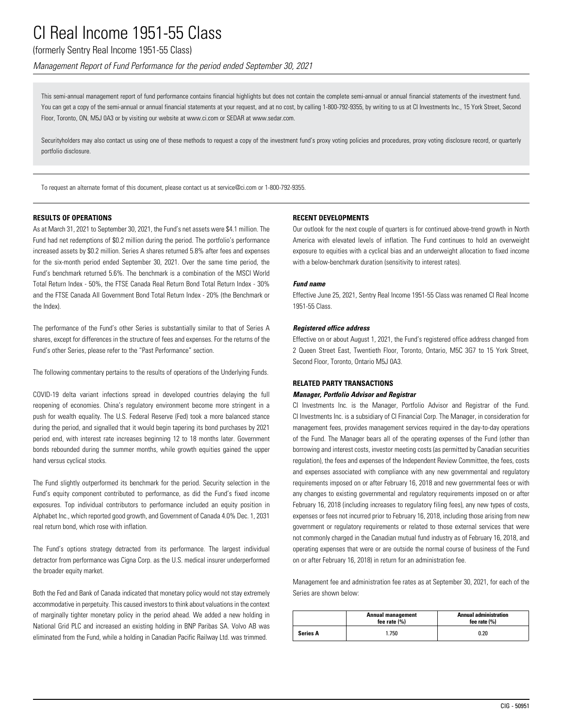# (formerly Sentry Real Income 1951-55 Class)

*Management Report of Fund Performance for the period ended September 30, 2021*

This semi-annual management report of fund performance contains financial highlights but does not contain the complete semi-annual or annual financial statements of the investment fund. You can get a copy of the semi-annual or annual financial statements at your request, and at no cost, by calling 1-800-792-9355, by writing to us at CI Investments Inc., 15 York Street, Second Floor, Toronto, ON, M5J 0A3 or by visiting our website at www.ci.com or SEDAR at www.sedar.com.

Securityholders may also contact us using one of these methods to request a copy of the investment fund's proxy voting policies and procedures, proxy voting disclosure record, or quarterly portfolio disclosure.

To request an alternate format of this document, please contact us at service@ci.com or 1-800-792-9355.

#### **RESULTS OF OPERATIONS**

As at March 31, 2021 to September 30, 2021, the Fund's net assets were \$4.1 million. The Fund had net redemptions of \$0.2 million during the period. The portfolio's performance increased assets by \$0.2 million. Series A shares returned 5.8% after fees and expenses for the six-month period ended September 30, 2021. Over the same time period, the Fund's benchmark returned 5.6%. The benchmark is a combination of the MSCI World Total Return Index - 50%, the FTSE Canada Real Return Bond Total Return Index - 30% and the FTSE Canada All Government Bond Total Return Index - 20% (the Benchmark or the Index).

The performance of the Fund's other Series is substantially similar to that of Series A shares, except for differences in the structure of fees and expenses. For the returns of the Fund's other Series, please refer to the "Past Performance" section.

The following commentary pertains to the results of operations of the Underlying Funds.

COVID-19 delta variant infections spread in developed countries delaying the full reopening of economies. China's regulatory environment become more stringent in a push for wealth equality. The U.S. Federal Reserve (Fed) took a more balanced stance during the period, and signalled that it would begin tapering its bond purchases by 2021 period end, with interest rate increases beginning 12 to 18 months later. Government bonds rebounded during the summer months, while growth equities gained the upper hand versus cyclical stocks.

The Fund slightly outperformed its benchmark for the period. Security selection in the Fund's equity component contributed to performance, as did the Fund's fixed income exposures. Top individual contributors to performance included an equity position in Alphabet Inc., which reported good growth, and Government of Canada 4.0% Dec. 1, 2031 real return bond, which rose with inflation.

The Fund's options strategy detracted from its performance. The largest individual detractor from performance was Cigna Corp. as the U.S. medical insurer underperformed the broader equity market.

Both the Fed and Bank of Canada indicated that monetary policy would not stay extremely accommodative in perpetuity. This caused investors to think about valuations in the context of marginally tighter monetary policy in the period ahead. We added a new holding in National Grid PLC and increased an existing holding in BNP Paribas SA. Volvo AB was eliminated from the Fund, while a holding in Canadian Pacific Railway Ltd. was trimmed.

#### **RECENT DEVELOPMENTS**

Our outlook for the next couple of quarters is for continued above-trend growth in North America with elevated levels of inflation. The Fund continues to hold an overweight exposure to equities with a cyclical bias and an underweight allocation to fixed income with a below-benchmark duration (sensitivity to interest rates).

#### *Fund name*

Effective June 25, 2021, Sentry Real Income 1951-55 Class was renamed CI Real Income 1951-55 Class.

#### *Registered office address*

Effective on or about August 1, 2021, the Fund's registered office address changed from 2 Queen Street East, Twentieth Floor, Toronto, Ontario, M5C 3G7 to 15 York Street, Second Floor, Toronto, Ontario M5J 0A3.

### **RELATED PARTY TRANSACTIONS**

### *Manager, Portfolio Advisor and Registrar*

CI Investments Inc. is the Manager, Portfolio Advisor and Registrar of the Fund. CI Investments Inc. is a subsidiary of CI Financial Corp. The Manager, in consideration for management fees, provides management services required in the day-to-day operations of the Fund. The Manager bears all of the operating expenses of the Fund (other than borrowing and interest costs, investor meeting costs (as permitted by Canadian securities regulation), the fees and expenses of the Independent Review Committee, the fees, costs and expenses associated with compliance with any new governmental and regulatory requirements imposed on or after February 16, 2018 and new governmental fees or with any changes to existing governmental and regulatory requirements imposed on or after February 16, 2018 (including increases to regulatory filing fees), any new types of costs, expenses or fees not incurred prior to February 16, 2018, including those arising from new government or regulatory requirements or related to those external services that were not commonly charged in the Canadian mutual fund industry as of February 16, 2018, and operating expenses that were or are outside the normal course of business of the Fund on or after February 16, 2018) in return for an administration fee.

Management fee and administration fee rates as at September 30, 2021, for each of the Series are shown below:

|                 | <b>Annual management</b><br>fee rate $(% )$ | <b>Annual administration</b><br>fee rate $(%)$ |
|-----------------|---------------------------------------------|------------------------------------------------|
| <b>Series A</b> | 1.750                                       | 0.20                                           |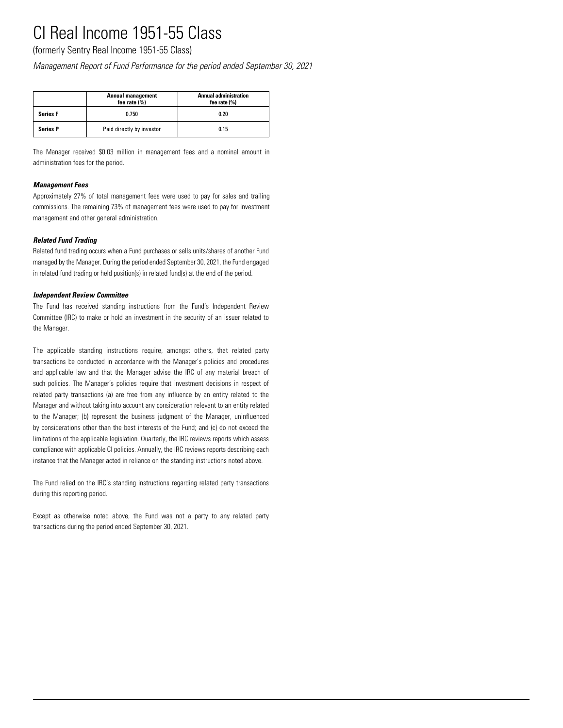(formerly Sentry Real Income 1951-55 Class)

*Management Report of Fund Performance for the period ended September 30, 2021*

|                 | <b>Annual management</b><br>fee rate $(% )$ | <b>Annual administration</b><br>fee rate $(% )$ |  |  |  |  |
|-----------------|---------------------------------------------|-------------------------------------------------|--|--|--|--|
| <b>Series F</b> | 0.750                                       | 0.20                                            |  |  |  |  |
| <b>Series P</b> | Paid directly by investor                   | 0.15                                            |  |  |  |  |

The Manager received \$0.03 million in management fees and a nominal amount in administration fees for the period.

### *Management Fees*

Approximately 27% of total management fees were used to pay for sales and trailing commissions. The remaining 73% of management fees were used to pay for investment management and other general administration.

### *Related Fund Trading*

Related fund trading occurs when a Fund purchases or sells units/shares of another Fund managed by the Manager. During the period ended September 30, 2021, the Fund engaged in related fund trading or held position(s) in related fund(s) at the end of the period.

#### *Independent Review Committee*

The Fund has received standing instructions from the Fund's Independent Review Committee (IRC) to make or hold an investment in the security of an issuer related to the Manager.

The applicable standing instructions require, amongst others, that related party transactions be conducted in accordance with the Manager's policies and procedures and applicable law and that the Manager advise the IRC of any material breach of such policies. The Manager's policies require that investment decisions in respect of related party transactions (a) are free from any influence by an entity related to the Manager and without taking into account any consideration relevant to an entity related to the Manager; (b) represent the business judgment of the Manager, uninfluenced by considerations other than the best interests of the Fund; and (c) do not exceed the limitations of the applicable legislation. Quarterly, the IRC reviews reports which assess compliance with applicable CI policies. Annually, the IRC reviews reports describing each instance that the Manager acted in reliance on the standing instructions noted above.

The Fund relied on the IRC's standing instructions regarding related party transactions during this reporting period.

Except as otherwise noted above, the Fund was not a party to any related party transactions during the period ended September 30, 2021.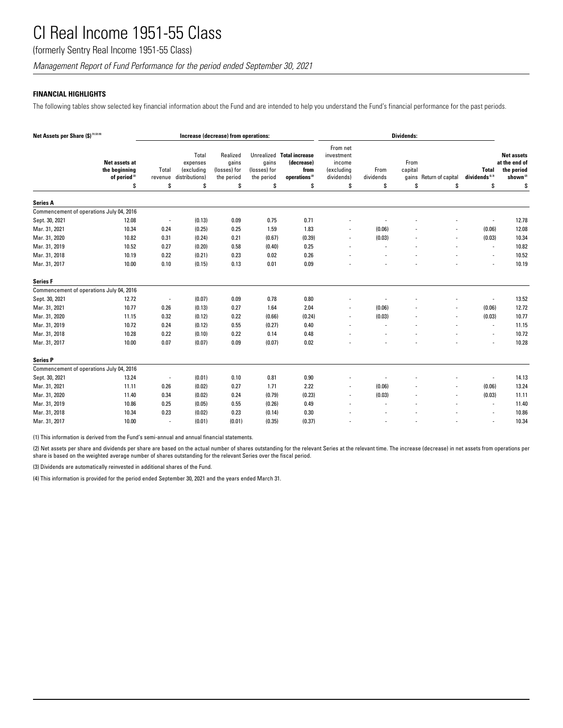(formerly Sentry Real Income 1951-55 Class)

*Management Report of Fund Performance for the period ended September 30, 2021*

## **FINANCIAL HIGHLIGHTS**

The following tables show selected key financial information about the Fund and are intended to help you understand the Fund's financial performance for the past periods.

| Net Assets per Share (\$) <sup>(1)(2)(4)</sup> |                                                                  | Increase (decrease) from operations: |                                                         |                                                       |                                           |                                                                                    | Dividends:                                                        |                         |                       |                               |                                                 |                                                                                |
|------------------------------------------------|------------------------------------------------------------------|--------------------------------------|---------------------------------------------------------|-------------------------------------------------------|-------------------------------------------|------------------------------------------------------------------------------------|-------------------------------------------------------------------|-------------------------|-----------------------|-------------------------------|-------------------------------------------------|--------------------------------------------------------------------------------|
|                                                | Net assets at<br>the beginning<br>of period <sup>(2)</sup><br>\$ | Total<br>revenue<br>S                | Total<br>expenses<br>(excluding<br>distributions)<br>\$ | Realized<br>qains<br>(losses) for<br>the period<br>\$ | qains<br>(losses) for<br>the period<br>\$ | Unrealized Total increase<br>(decrease)<br>from<br>operations <sup>(2)</sup><br>\$ | From net<br>investment<br>income<br>(excluding<br>dividends)<br>S | From<br>dividends<br>\$ | From<br>capital<br>\$ | gains Return of capital<br>\$ | <b>Total</b><br>dividends <sup>2,39</sup><br>\$ | <b>Net assets</b><br>at the end of<br>the period<br>shown <sup>(2)</sup><br>\$ |
| <b>Series A</b>                                |                                                                  |                                      |                                                         |                                                       |                                           |                                                                                    |                                                                   |                         |                       |                               |                                                 |                                                                                |
| Commencement of operations July 04, 2016       |                                                                  |                                      |                                                         |                                                       |                                           |                                                                                    |                                                                   |                         |                       |                               |                                                 |                                                                                |
| Sept. 30, 2021                                 | 12.08                                                            |                                      | (0.13)                                                  | 0.09                                                  | 0.75                                      | 0.71                                                                               |                                                                   |                         |                       |                               |                                                 | 12.78                                                                          |
| Mar. 31, 2021                                  | 10.34                                                            | 0.24                                 | (0.25)                                                  | 0.25                                                  | 1.59                                      | 1.83                                                                               |                                                                   | (0.06)                  |                       |                               | (0.06)                                          | 12.08                                                                          |
| Mar. 31, 2020                                  | 10.82                                                            | 0.31                                 | (0.24)                                                  | 0.21                                                  | (0.67)                                    | (0.39)                                                                             |                                                                   | (0.03)                  |                       |                               | (0.03)                                          | 10.34                                                                          |
| Mar. 31, 2019                                  | 10.52                                                            | 0.27                                 | (0.20)                                                  | 0.58                                                  | (0.40)                                    | 0.25                                                                               |                                                                   |                         |                       |                               | $\overline{\phantom{a}}$                        | 10.82                                                                          |
| Mar. 31, 2018                                  | 10.19                                                            | 0.22                                 | (0.21)                                                  | 0.23                                                  | 0.02                                      | 0.26                                                                               |                                                                   |                         |                       |                               | $\overline{\phantom{a}}$                        | 10.52                                                                          |
| Mar. 31, 2017                                  | 10.00                                                            | 0.10                                 | (0.15)                                                  | 0.13                                                  | 0.01                                      | 0.09                                                                               |                                                                   |                         |                       |                               |                                                 | 10.19                                                                          |
| <b>Series F</b>                                |                                                                  |                                      |                                                         |                                                       |                                           |                                                                                    |                                                                   |                         |                       |                               |                                                 |                                                                                |
| Commencement of operations July 04, 2016       |                                                                  |                                      |                                                         |                                                       |                                           |                                                                                    |                                                                   |                         |                       |                               |                                                 |                                                                                |
| Sept. 30, 2021                                 | 12.72                                                            |                                      | (0.07)                                                  | 0.09                                                  | 0.78                                      | 0.80                                                                               |                                                                   |                         |                       |                               |                                                 | 13.52                                                                          |
| Mar. 31, 2021                                  | 10.77                                                            | 0.26                                 | (0.13)                                                  | 0.27                                                  | 1.64                                      | 2.04                                                                               |                                                                   | (0.06)                  |                       |                               | (0.06)                                          | 12.72                                                                          |
| Mar. 31, 2020                                  | 11.15                                                            | 0.32                                 | (0.12)                                                  | 0.22                                                  | (0.66)                                    | (0.24)                                                                             |                                                                   | (0.03)                  |                       |                               | (0.03)                                          | 10.77                                                                          |
| Mar. 31, 2019                                  | 10.72                                                            | 0.24                                 | (0.12)                                                  | 0.55                                                  | (0.27)                                    | 0.40                                                                               |                                                                   |                         |                       |                               | $\sim$                                          | 11.15                                                                          |
| Mar. 31, 2018                                  | 10.28                                                            | 0.22                                 | (0.10)                                                  | 0.22                                                  | 0.14                                      | 0.48                                                                               |                                                                   |                         |                       |                               | $\overline{\phantom{a}}$                        | 10.72                                                                          |
| Mar. 31, 2017                                  | 10.00                                                            | 0.07                                 | (0.07)                                                  | 0.09                                                  | (0.07)                                    | 0.02                                                                               |                                                                   |                         |                       |                               | ä,                                              | 10.28                                                                          |
| <b>Series P</b>                                |                                                                  |                                      |                                                         |                                                       |                                           |                                                                                    |                                                                   |                         |                       |                               |                                                 |                                                                                |
| Commencement of operations July 04, 2016       |                                                                  |                                      |                                                         |                                                       |                                           |                                                                                    |                                                                   |                         |                       |                               |                                                 |                                                                                |
| Sept. 30, 2021                                 | 13.24                                                            |                                      | (0.01)                                                  | 0.10                                                  | 0.81                                      | 0.90                                                                               |                                                                   |                         |                       |                               |                                                 | 14.13                                                                          |
| Mar. 31, 2021                                  | 11.11                                                            | 0.26                                 | (0.02)                                                  | 0.27                                                  | 1.71                                      | 2.22                                                                               |                                                                   | (0.06)                  |                       |                               | (0.06)                                          | 13.24                                                                          |
| Mar. 31, 2020                                  | 11.40                                                            | 0.34                                 | (0.02)                                                  | 0.24                                                  | (0.79)                                    | (0.23)                                                                             |                                                                   | (0.03)                  |                       |                               | (0.03)                                          | 11.11                                                                          |
| Mar. 31, 2019                                  | 10.86                                                            | 0.25                                 | (0.05)                                                  | 0.55                                                  | (0.26)                                    | 0.49                                                                               |                                                                   |                         |                       |                               | $\sim$                                          | 11.40                                                                          |
| Mar. 31, 2018                                  | 10.34                                                            | 0.23                                 | (0.02)                                                  | 0.23                                                  | (0.14)                                    | 0.30                                                                               |                                                                   |                         |                       |                               | $\overline{\phantom{a}}$                        | 10.86                                                                          |
| Mar. 31, 2017                                  | 10.00                                                            |                                      | (0.01)                                                  | (0.01)                                                | (0.35)                                    | (0.37)                                                                             |                                                                   |                         |                       |                               |                                                 | 10.34                                                                          |

(1) This information is derived from the Fund's semi-annual and annual financial statements.

(2) Net assets per share and dividends per share are based on the actual number of shares outstanding for the relevant Series at the relevant time. The increase (decrease) in net assets from operations per share is based on the weighted average number of shares outstanding for the relevant Series over the fiscal period.

(3) Dividends are automatically reinvested in additional shares of the Fund.

(4) This information is provided for the period ended September 30, 2021 and the years ended March 31.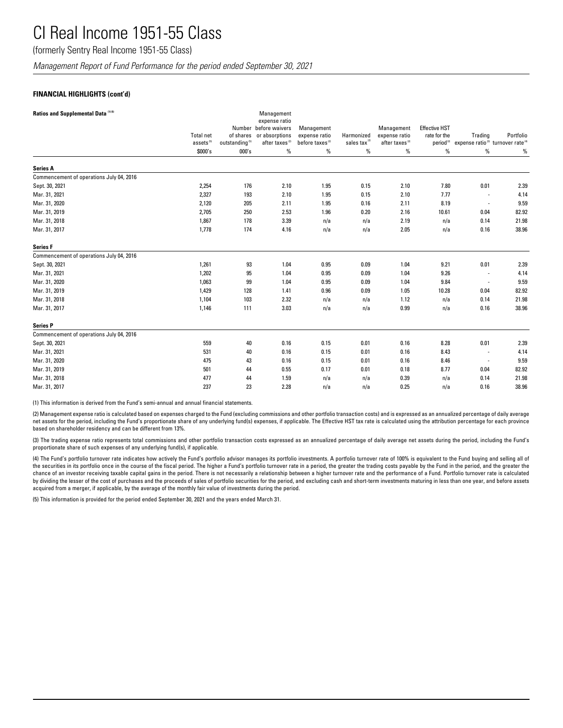(formerly Sentry Real Income 1951-55 Class)

*Management Report of Fund Performance for the period ended September 30, 2021*

### **FINANCIAL HIGHLIGHTS (cont'd)**

| Ratios and Supplemental Data <sup>(1)(5)</sup> |                       |                            | Management<br>expense ratio             |                             |                                      |                             |                                      |                                                           |           |
|------------------------------------------------|-----------------------|----------------------------|-----------------------------------------|-----------------------------|--------------------------------------|-----------------------------|--------------------------------------|-----------------------------------------------------------|-----------|
|                                                | <b>Total net</b>      | of shares                  | Number before waivers<br>or absorptions | Management<br>expense ratio | Harmonized                           | Management<br>expense ratio | <b>Effective HST</b><br>rate for the | Trading                                                   | Portfolio |
|                                                | assets <sup>(5)</sup> | outstanding <sup>(5)</sup> | after taxes <sup>(2)</sup>              | before taxes <sup>(2)</sup> | sales $\mathsf{tax}^\text{\tiny(2)}$ | after taxes <sup>(2)</sup>  | period <sup>(2)</sup>                | expense ratio <sup>(3)</sup> turnover rate <sup>(4)</sup> |           |
|                                                | \$000's               | 000's                      | $\%$                                    | %                           | %                                    | %                           | $\%$                                 | $\%$                                                      | %         |
| <b>Series A</b>                                |                       |                            |                                         |                             |                                      |                             |                                      |                                                           |           |
| Commencement of operations July 04, 2016       |                       |                            |                                         |                             |                                      |                             |                                      |                                                           |           |
| Sept. 30, 2021                                 | 2,254                 | 176                        | 2.10                                    | 1.95                        | 0.15                                 | 2.10                        | 7.80                                 | 0.01                                                      | 2.39      |
| Mar. 31, 2021                                  | 2,327                 | 193                        | 2.10                                    | 1.95                        | 0.15                                 | 2.10                        | 7.77                                 | $\overline{\phantom{a}}$                                  | 4.14      |
| Mar. 31, 2020                                  | 2,120                 | 205                        | 2.11                                    | 1.95                        | 0.16                                 | 2.11                        | 8.19                                 | $\overline{a}$                                            | 9.59      |
| Mar. 31, 2019                                  | 2,705                 | 250                        | 2.53                                    | 1.96                        | 0.20                                 | 2.16                        | 10.61                                | 0.04                                                      | 82.92     |
| Mar. 31, 2018                                  | 1.867                 | 178                        | 3.39                                    | n/a                         | n/a                                  | 2.19                        | n/a                                  | 0.14                                                      | 21.98     |
| Mar. 31, 2017                                  | 1,778                 | 174                        | 4.16                                    | n/a                         | n/a                                  | 2.05                        | n/a                                  | 0.16                                                      | 38.96     |
| <b>Series F</b>                                |                       |                            |                                         |                             |                                      |                             |                                      |                                                           |           |
| Commencement of operations July 04, 2016       |                       |                            |                                         |                             |                                      |                             |                                      |                                                           |           |
| Sept. 30, 2021                                 | 1,261                 | 93                         | 1.04                                    | 0.95                        | 0.09                                 | 1.04                        | 9.21                                 | 0.01                                                      | 2.39      |
| Mar. 31, 2021                                  | 1,202                 | 95                         | 1.04                                    | 0.95                        | 0.09                                 | 1.04                        | 9.26                                 | $\overline{a}$                                            | 4.14      |
| Mar. 31, 2020                                  | 1,063                 | 99                         | 1.04                                    | 0.95                        | 0.09                                 | 1.04                        | 9.84                                 | $\overline{\phantom{a}}$                                  | 9.59      |
| Mar. 31, 2019                                  | 1,429                 | 128                        | 1.41                                    | 0.96                        | 0.09                                 | 1.05                        | 10.28                                | 0.04                                                      | 82.92     |
| Mar. 31, 2018                                  | 1,104                 | 103                        | 2.32                                    | n/a                         | n/a                                  | 1.12                        | n/a                                  | 0.14                                                      | 21.98     |
| Mar. 31, 2017                                  | 1,146                 | 111                        | 3.03                                    | n/a                         | n/a                                  | 0.99                        | n/a                                  | 0.16                                                      | 38.96     |
| <b>Series P</b>                                |                       |                            |                                         |                             |                                      |                             |                                      |                                                           |           |
| Commencement of operations July 04, 2016       |                       |                            |                                         |                             |                                      |                             |                                      |                                                           |           |
| Sept. 30, 2021                                 | 559                   | 40                         | 0.16                                    | 0.15                        | 0.01                                 | 0.16                        | 8.28                                 | 0.01                                                      | 2.39      |
| Mar. 31, 2021                                  | 531                   | 40                         | 0.16                                    | 0.15                        | 0.01                                 | 0.16                        | 8.43                                 | $\overline{\phantom{a}}$                                  | 4.14      |
| Mar. 31, 2020                                  | 475                   | 43                         | 0.16                                    | 0.15                        | 0.01                                 | 0.16                        | 8.46                                 | $\overline{\phantom{a}}$                                  | 9.59      |
| Mar. 31, 2019                                  | 501                   | 44                         | 0.55                                    | 0.17                        | 0.01                                 | 0.18                        | 8.77                                 | 0.04                                                      | 82.92     |
| Mar. 31, 2018                                  | 477                   | 44                         | 1.59                                    | n/a                         | n/a                                  | 0.39                        | n/a                                  | 0.14                                                      | 21.98     |
| Mar. 31, 2017                                  | 237                   | 23                         | 2.28                                    | n/a                         | n/a                                  | 0.25                        | n/a                                  | 0.16                                                      | 38.96     |

(1) This information is derived from the Fund's semi-annual and annual financial statements.

(2) Management expense ratio is calculated based on expenses charged to the Fund (excluding commissions and other portfolio transaction costs) and is expressed as an annualized percentage of daily average net assets for the period, including the Fund's proportionate share of any underlying fund(s) expenses, if applicable. The Effective HST tax rate is calculated using the attribution percentage for each province based on shareholder residency and can be different from 13%.

(3) The trading expense ratio represents total commissions and other portfolio transaction costs expressed as an annualized percentage of daily average net assets during the period, including the Fund's proportionate share of such expenses of any underlying fund(s), if applicable.

(4) The Fund's portfolio turnover rate indicates how actively the Fund's portfolio advisor manages its portfolio investments. A portfolio turnover rate of 100% is equivalent to the Fund buying and selling all of the securities in its portfolio once in the course of the fiscal period. The higher a Fund's portfolio turnover rate in a period, the greater the trading costs payable by the Fund in the period, and the greater the chance of an investor receiving taxable capital gains in the period. There is not necessarily a relationship between a higher turnover rate and the performance of a Fund. Portfolio turnover rate is calculated by dividing the lesser of the cost of purchases and the proceeds of sales of portfolio securities for the period, and excluding cash and short-term investments maturing in less than one year, and before assets acquired from a merger, if applicable, by the average of the monthly fair value of investments during the period.

(5) This information is provided for the period ended September 30, 2021 and the years ended March 31.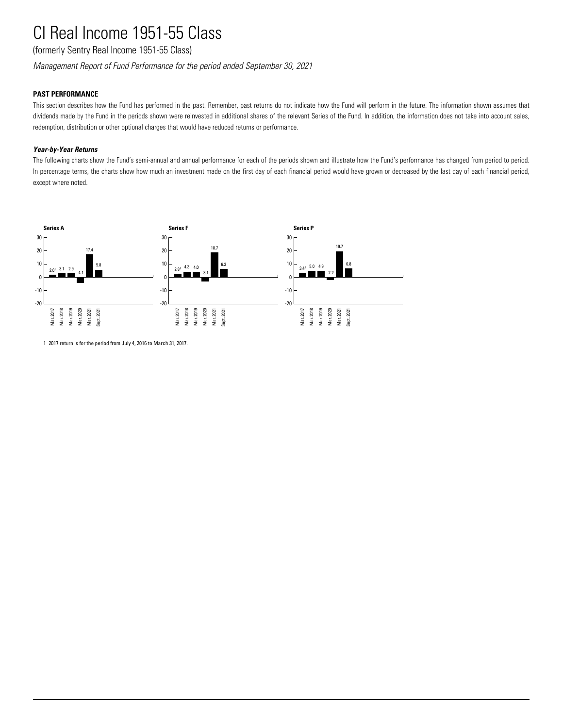(formerly Sentry Real Income 1951-55 Class)

*Management Report of Fund Performance for the period ended September 30, 2021*

## **PAST PERFORMANCE**

This section describes how the Fund has performed in the past. Remember, past returns do not indicate how the Fund will perform in the future. The information shown assumes that dividends made by the Fund in the periods shown were reinvested in additional shares of the relevant Series of the Fund. In addition, the information does not take into account sales, redemption, distribution or other optional charges that would have reduced returns or performance.

## *Year-by-Year Returns*

The following charts show the Fund's semi-annual and annual performance for each of the periods shown and illustrate how the Fund's performance has changed from period to period. In percentage terms, the charts show how much an investment made on the first day of each financial period would have grown or decreased by the last day of each financial period, except where noted.



1 2017 return is for the period from July 4, 2016 to March 31, 2017.